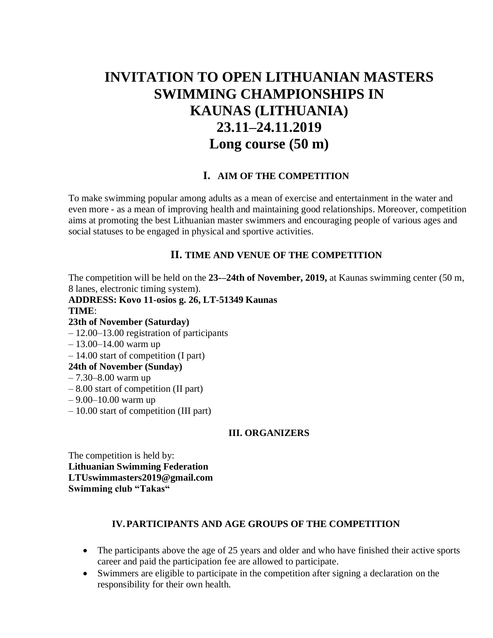# **INVITATION TO OPEN LITHUANIAN MASTERS SWIMMING CHAMPIONSHIPS IN KAUNAS (LITHUANIA) 23.11–24.11.2019 Long course (50 m)**

## **I. AIM OF THE COMPETITION**

To make swimming popular among adults as a mean of exercise and entertainment in the water and even more - as a mean of improving health and maintaining good relationships. Moreover, competition aims at promoting the best Lithuanian master swimmers and encouraging people of various ages and social statuses to be engaged in physical and sportive activities.

## **II. TIME AND VENUE OF THE COMPETITION**

The competition will be held on the **23-–24th of November, 2019,** at Kaunas swimming center (50 m, 8 lanes, electronic timing system).

**ADDRESS: Kovo 11-osios g. 26, LT-51349 Kaunas TIME**: **23th of November (Saturday)**  – 12.00–13.00 registration of participants – 13.00–14.00 warm up – 14.00 start of competition (I part) **24th of November (Sunday)**  – 7.30–8.00 warm up – 8.00 start of competition (II part) – 9.00–10.00 warm up – 10.00 start of competition (III part)

### **III. ORGANIZERS**

The competition is held by: **Lithuanian Swimming Federation LTUswimmasters2019@gmail.com Swimming club "Takas"** 

## **IV.PARTICIPANTS AND AGE GROUPS OF THE COMPETITION**

- The participants above the age of 25 years and older and who have finished their active sports career and paid the participation fee are allowed to participate.
- Swimmers are eligible to participate in the competition after signing a declaration on the responsibility for their own health.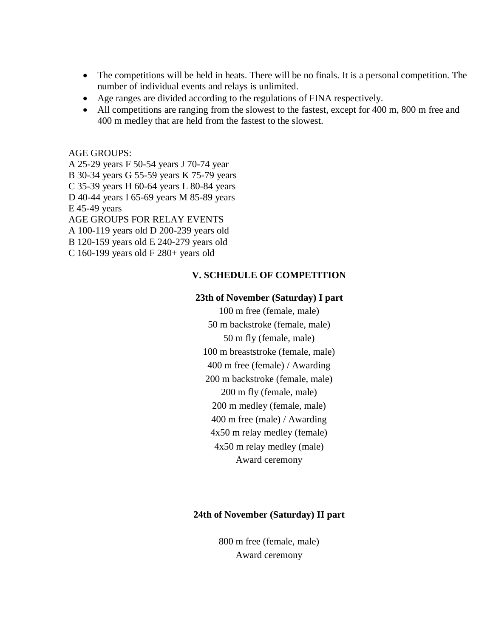- The competitions will be held in heats. There will be no finals. It is a personal competition. The number of individual events and relays is unlimited.
- Age ranges are divided according to the regulations of FINA respectively.
- All competitions are ranging from the slowest to the fastest, except for 400 m, 800 m free and 400 m medley that are held from the fastest to the slowest.

AGE GROUPS:

- A 25-29 years F 50-54 years J 70-74 year
- B 30-34 years G 55-59 years K 75-79 years
- C 35-39 years H 60-64 years L 80-84 years
- D 40-44 years I 65-69 years M 85-89 years
- E 45-49 years
- AGE GROUPS FOR RELAY EVENTS
- A 100-119 years old D 200-239 years old
- B 120-159 years old E 240-279 years old
- C 160-199 years old F 280+ years old

## **V. SCHEDULE OF COMPETITION**

### **23th of November (Saturday) I part**

- 100 m free (female, male) 50 m backstroke (female, male) 50 m fly (female, male)
- 100 m breaststroke (female, male)
- 400 m free (female) / Awarding
- 200 m backstroke (female, male)
	- 200 m fly (female, male)
	- 200 m medley (female, male)
	- 400 m free (male) / Awarding
	- 4x50 m relay medley (female)
	- 4x50 m relay medley (male)

Award ceremony

## **24th of November (Saturday) II part**

800 m free (female, male) Award ceremony